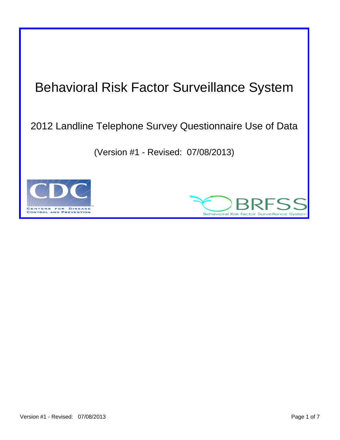# Behavioral Risk Factor Surveillance System

# 2012 Landline Telephone Survey Questionnaire Use of Data

(Version #1 - Revised: 07/08/2013)



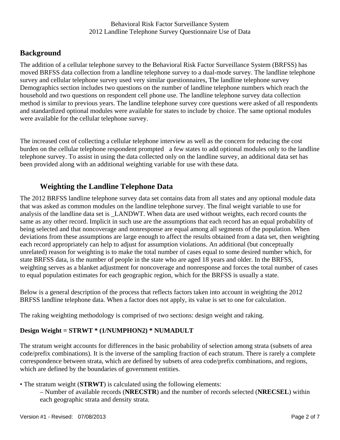# **Background**

The addition of a cellular telephone survey to the Behavioral Risk Factor Surveillance System (BRFSS) has moved BRFSS data collection from a landline telephone survey to a dual-mode survey. The landline telephone survey and cellular telephone survey used very similar questionnaires, The landline telephone survey Demographics section includes two questions on the number of landline telephone numbers which reach the household and two questions on respondent cell phone use. The landline telephone survey data collection method is similar to previous years. The landline telephone survey core questions were asked of all respondents and standardized optional modules were available for states to include by choice. The same optional modules were available for the cellular telephone survey.

 been provided along with an additional weighting variable for use with these data. The increased cost of collecting a cellular telephone interview as well as the concern for reducing the cost burden on the cellular telephone respondent prompted a few states to add optional modules only to the landline telephone survey. To assist in using the data collected only on the landline survey, an additional data set has

# **Weighting the Landline Telephone Data**

The 2012 BRFSS landline telephone survey data set contains data from all states and any optional module data that was asked as common modules on the landline telephone survey. The final weight variable to use for analysis of the landline data set is \_LANDWT. When data are used without weights, each record counts the same as any other record. Implicit in such use are the assumptions that each record has an equal probability of being selected and that noncoverage and nonresponse are equal among all segments of the population. When deviations from these assumptions are large enough to affect the results obtained from a data set, then weighting each record appropriately can help to adjust for assumption violations. An additional (but conceptually unrelated) reason for weighting is to make the total number of cases equal to some desired number which, for state BRFSS data, is the number of people in the state who are aged 18 years and older. In the BRFSS, weighting serves as a blanket adjustment for noncoverage and nonresponse and forces the total number of cases to equal population estimates for each geographic region, which for the BRFSS is usually a state.

Below is a general description of the process that reflects factors taken into account in weighting the 2012 BRFSS landline telephone data. When a factor does not apply, its value is set to one for calculation.

The raking weighting methodology is comprised of two sections: design weight and raking.

### **Design Weight = STRWT \* (1/NUMPHON2) \* NUMADULT**

The stratum weight accounts for differences in the basic probability of selection among strata (subsets of area code/prefix combinations). It is the inverse of the sampling fraction of each stratum. There is rarely a complete correspondence between strata, which are defined by subsets of area code/prefix combinations, and regions, which are defined by the boundaries of government entities.

• The stratum weight (**STRWT**) is calculated using the following elements:

– Number of available records (**NRECSTR**) and the number of records selected (**NRECSEL**) within each geographic strata and density strata.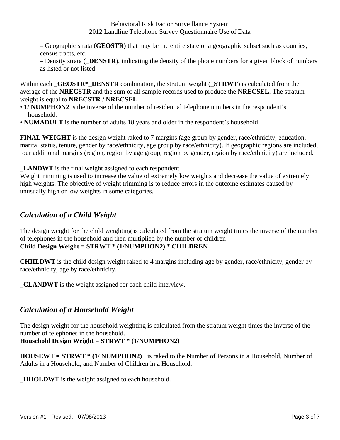– Geographic strata (**GEOSTR)** that may be the entire state or a geographic subset such as counties, census tracts, etc.

– Density strata (\_**DENSTR**), indicating the density of the phone numbers for a given block of numbers as listed or not listed.

Within each **GEOSTR<sup>\*</sup> DENSTR** combination, the stratum weight (**STRWT**) is calculated from the average of the **NRECSTR** and the sum of all sample records used to produce the **NRECSEL**. The stratum weight is equal to **NRECSTR / NRECSEL.** 

- **1/ NUMPHON2** is the inverse of the number of residential telephone numbers in the respondent's household.
- **NUMADULT** is the number of adults 18 years and older in the respondent's household.

**FINAL WEIGHT** is the design weight raked to 7 margins (age group by gender, race/ethnicity, education, marital status, tenure, gender by race/ethnicity, age group by race/ethnicity). If geographic regions are included, four additional margins (region, region by age group, region by gender, region by race/ethnicity) are included.

**\_LANDWT** is the final weight assigned to each respondent.

Weight trimming is used to increase the value of extremely low weights and decrease the value of extremely high weights. The objective of weight trimming is to reduce errors in the outcome estimates caused by unusually high or low weights in some categories.

# *Calculation of a Child Weight*

The design weight for the child weighting is calculated from the stratum weight times the inverse of the number of telephones in the household and then multiplied by the number of children **Child Design Weight = STRWT \* (1/NUMPHON2) \* CHILDREN** 

**CHIILDWT** is the child design weight raked to 4 margins including age by gender, race/ethnicity, gender by race/ethnicity, age by race/ethnicity.

**\_CLANDWT** is the weight assigned for each child interview.

# *Calculation of a Household Weight*

The design weight for the household weighting is calculated from the stratum weight times the inverse of the number of telephones in the household.

### **Household Design Weight = STRWT \* (1/NUMPHON2)**

 **HOUSEWT = STRWT \* (1/ NUMPHON2)** is raked to the Number of Persons in a Household, Number of Adults in a Household, and Number of Children in a Household.

**HHOLDWT** is the weight assigned to each household.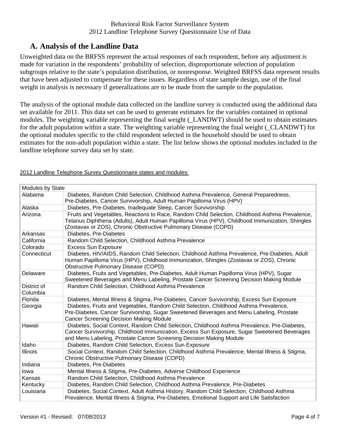# **A. Analysis of the Landline Data**

Unweighted data on the BRFSS represent the actual responses of each respondent, before any adjustment is made for variation in the respondents' probability of selection, disproportionate selection of population subgroups relative to the state's population distribution, or nonresponse. Weighted BRFSS data represent results that have been adjusted to compensate for these issues. Regardless of state sample design, use of the final weight in analysis is necessary if generalizations are to be made from the sample to the population.

The analysis of the optional module data collected on the landline survey is conducted using the additional data set available for 2011. This data set can be used to generate estimates for the variables contained in optional modules. The weighting variable representing the final weight (\_LANDWT) should be used to obtain estimates for the adult population within a state. The weighting variable representing the final weight (\_CLANDWT) for the optional modules specific to the child respondent selected in the household should be used to obtain estimates for the non-adult population within a state. The list below shows the optional modules included in the landline telephone survey data set by state.

| Modules by State        |                                                                                                                                                                                                                                                                       |  |
|-------------------------|-----------------------------------------------------------------------------------------------------------------------------------------------------------------------------------------------------------------------------------------------------------------------|--|
| Alabama                 | Diabetes, Random Child Selection, Childhood Asthma Prevalence, General Preparedness,<br>Pre-Diabetes, Cancer Survivorship, Adult Human Papilloma Virus (HPV)                                                                                                          |  |
| Alaska                  | Diabetes, Pre-Diabetes, Inadequate Sleep, Cancer Survivorship                                                                                                                                                                                                         |  |
| Arizona                 | Fruits and Vegetables, Reactions to Race, Random Child Selection, Childhood Asthma Prevalence,<br>Tetanus Diphtheria (Adults), Adult Human Papilloma Virus (HPV), Childhood Immunization, Shingles<br>(Zostavax or ZOS), Chronic Obstructive Pulmonary Disease (COPD) |  |
| Arkansas                | Diabetes, Pre-Diabetes                                                                                                                                                                                                                                                |  |
| California              | Random Child Selection, Childhood Asthma Prevalence                                                                                                                                                                                                                   |  |
| Colorado                | <b>Excess Sun Exposure</b>                                                                                                                                                                                                                                            |  |
| Connecticut             | Diabetes, HIV/AIDS, Random Child Selection, Childhood Asthma Prevalence, Pre-Diabetes, Adult<br>Human Papilloma Virus (HPV), Childhood Immunization, Shingles (Zostavax or ZOS), Chronic<br><b>Obstructive Pulmonary Disease (COPD)</b>                               |  |
| Delaware                | Diabetes, Fruits and Vegetables, Pre-Diabetes, Adult Human Papilloma Virus (HPV), Sugar<br>Sweetened Beverages and Menu Labeling, Prostate Cancer Screening Decision Making Module                                                                                    |  |
| District of<br>Columbia | Random Child Selection, Childhood Asthma Prevalence                                                                                                                                                                                                                   |  |
| Florida                 | Diabetes, Mental Illness & Stigma, Pre-Diabetes, Cancer Survivorship, Excess Sun Exposure                                                                                                                                                                             |  |
| Georgia                 | Diabetes, Fruits and Vegetables, Random Child Selection, Childhood Asthma Prevalence,<br>Pre-Diabetes, Cancer Survivorship, Sugar Sweetened Beverages and Menu Labeling, Prostate<br><b>Cancer Screening Decision Making Module</b>                                   |  |
| Hawaii                  | Diabetes, Social Context, Random Child Selection, Childhood Asthma Prevalence, Pre-Diabetes,<br>Cancer Survivorship, Childhood Immunization, Excess Sun Exposure, Sugar Sweetened Beverages<br>and Menu Labeling, Prostate Cancer Screening Decision Making Module    |  |
| Idaho                   | Diabetes, Random Child Selection, Excess Sun Exposure                                                                                                                                                                                                                 |  |
| <b>Illinois</b>         | Social Context, Random Child Selection, Childhood Asthma Prevalence, Mental Illness & Stigma,<br>Chronic Obstructive Pulmonary Disease (COPD)                                                                                                                         |  |
| Indiana                 | Diabetes, Pre-Diabetes                                                                                                                                                                                                                                                |  |
| lowa                    | Mental Illness & Stigma, Pre-Diabetes, Adverse Childhood Experience                                                                                                                                                                                                   |  |
| Kansas                  | Random Child Selection, Childhood Asthma Prevalence                                                                                                                                                                                                                   |  |
| Kentucky                | Diabetes, Random Child Selection, Childhood Asthma Prevalence, Pre-Diabetes                                                                                                                                                                                           |  |
| Louisiana               | Diabetes, Social Context, Adult Asthma History, Random Child Selection, Childhood Asthma<br>Prevalence, Mental Illness & Stigma, Pre-Diabetes, Emotional Support and Life Satisfaction                                                                                |  |

2012 Landline Telephone Survey Questionnaire states and modules: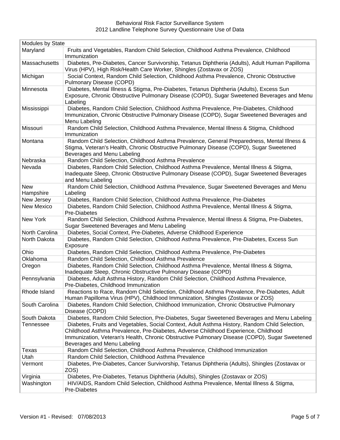| Modules by State  |                                                                                                                                                                                                                                                                                                                      |  |
|-------------------|----------------------------------------------------------------------------------------------------------------------------------------------------------------------------------------------------------------------------------------------------------------------------------------------------------------------|--|
| Maryland          | Fruits and Vegetables, Random Child Selection, Childhood Asthma Prevalence, Childhood<br>Immunization                                                                                                                                                                                                                |  |
| Massachusetts     | Diabetes, Pre-Diabetes, Cancer Survivorship, Tetanus Diphtheria (Adults), Adult Human Papilloma<br>Virus (HPV), High Risk/Health Care Worker, Shingles (Zostavax or ZOS)                                                                                                                                             |  |
| Michigan          | Social Context, Random Child Selection, Childhood Asthma Prevalence, Chronic Obstructive<br>Pulmonary Disease (COPD)                                                                                                                                                                                                 |  |
| Minnesota         | Diabetes, Mental Illness & Stigma, Pre-Diabetes, Tetanus Diphtheria (Adults), Excess Sun<br>Exposure, Chronic Obstructive Pulmonary Disease (COPD), Sugar Sweetened Beverages and Menu<br>Labeling                                                                                                                   |  |
| Mississippi       | Diabetes, Random Child Selection, Childhood Asthma Prevalence, Pre-Diabetes, Childhood<br>Immunization, Chronic Obstructive Pulmonary Disease (COPD), Sugar Sweetened Beverages and<br>Menu Labeling                                                                                                                 |  |
| Missouri          | Random Child Selection, Childhood Asthma Prevalence, Mental Illness & Stigma, Childhood<br>Immunization                                                                                                                                                                                                              |  |
| Montana           | Random Child Selection, Childhood Asthma Prevalence, General Preparedness, Mental Illness &<br>Stigma, Veteran's Health, Chronic Obstructive Pulmonary Disease (COPD), Sugar Sweetened<br>Beverages and Menu Labeling                                                                                                |  |
| Nebraska          | Random Child Selection, Childhood Asthma Prevalence                                                                                                                                                                                                                                                                  |  |
| Nevada            | Diabetes, Random Child Selection, Childhood Asthma Prevalence, Mental Illness & Stigma,<br>Inadequate Sleep, Chronic Obstructive Pulmonary Disease (COPD), Sugar Sweetened Beverages<br>and Menu Labeling                                                                                                            |  |
| <b>New</b>        | Random Child Selection, Childhood Asthma Prevalence, Sugar Sweetened Beverages and Menu                                                                                                                                                                                                                              |  |
| Hampshire         | Labeling                                                                                                                                                                                                                                                                                                             |  |
| New Jersey        | Diabetes, Random Child Selection, Childhood Asthma Prevalence, Pre-Diabetes                                                                                                                                                                                                                                          |  |
| <b>New Mexico</b> | Diabetes, Random Child Selection, Childhood Asthma Prevalence, Mental Illness & Stigma,<br>Pre-Diabetes                                                                                                                                                                                                              |  |
| New York          | Random Child Selection, Childhood Asthma Prevalence, Mental Illness & Stigma, Pre-Diabetes,<br>Sugar Sweetened Beverages and Menu Labeling                                                                                                                                                                           |  |
| North Carolina    | Diabetes, Social Context, Pre-Diabetes, Adverse Childhood Experience                                                                                                                                                                                                                                                 |  |
| North Dakota      | Diabetes, Random Child Selection, Childhood Asthma Prevalence, Pre-Diabetes, Excess Sun<br>Exposure                                                                                                                                                                                                                  |  |
| Ohio              | Diabetes, Random Child Selection, Childhood Asthma Prevalence, Pre-Diabetes                                                                                                                                                                                                                                          |  |
| Oklahoma          | Random Child Selection, Childhood Asthma Prevalence                                                                                                                                                                                                                                                                  |  |
| Oregon            | Diabetes, Random Child Selection, Childhood Asthma Prevalence, Mental Illness & Stigma,<br>Inadequate Sleep, Chronic Obstructive Pulmonary Disease (COPD)                                                                                                                                                            |  |
| Pennsylvania      | Diabetes, Adult Asthma History, Random Child Selection, Childhood Asthma Prevalence,<br>Pre-Diabetes, Childhood Immunization                                                                                                                                                                                         |  |
| Rhode Island      | Reactions to Race, Random Child Selection, Childhood Asthma Prevalence, Pre-Diabetes, Adult<br>Human Papilloma Virus (HPV), Childhood Immunization, Shingles (Zostavax or ZOS)                                                                                                                                       |  |
| South Carolina    | Diabetes, Random Child Selection, Childhood Immunization, Chronic Obstructive Pulmonary<br>Disease (COPD)                                                                                                                                                                                                            |  |
| South Dakota      | Diabetes, Random Child Selection, Pre-Diabetes, Sugar Sweetened Beverages and Menu Labeling                                                                                                                                                                                                                          |  |
| Tennessee         | Diabetes, Fruits and Vegetables, Social Context, Adult Asthma History, Random Child Selection,<br>Childhood Asthma Prevalence, Pre-Diabetes, Adverse Childhood Experience, Childhood<br>Immunization, Veteran's Health, Chronic Obstructive Pulmonary Disease (COPD), Sugar Sweetened<br>Beverages and Menu Labeling |  |
| Texas             | Random Child Selection, Childhood Asthma Prevalence, Childhood Immunization                                                                                                                                                                                                                                          |  |
| Utah              | Random Child Selection, Childhood Asthma Prevalence                                                                                                                                                                                                                                                                  |  |
| Vermont           | Diabetes, Pre-Diabetes, Cancer Survivorship, Tetanus Diphtheria (Adults), Shingles (Zostavax or<br>ZOS)                                                                                                                                                                                                              |  |
| Virginia          | Diabetes, Pre-Diabetes, Tetanus Diphtheria (Adults), Shingles (Zostavax or ZOS)                                                                                                                                                                                                                                      |  |
| Washington        | HIV/AIDS, Random Child Selection, Childhood Asthma Prevalence, Mental Illness & Stigma,<br>Pre-Diabetes                                                                                                                                                                                                              |  |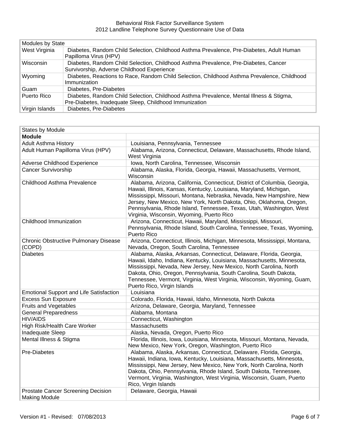| <b>Modules by State</b> |                                                                                                                                                   |  |
|-------------------------|---------------------------------------------------------------------------------------------------------------------------------------------------|--|
| West Virginia           | Diabetes, Random Child Selection, Childhood Asthma Prevalence, Pre-Diabetes, Adult Human<br>Papilloma Virus (HPV)                                 |  |
| <b>Wisconsin</b>        | Diabetes, Random Child Selection, Childhood Asthma Prevalence, Pre-Diabetes, Cancer<br>Survivorship, Adverse Childhood Experience                 |  |
| Wyoming                 | Diabetes, Reactions to Race, Random Child Selection, Childhood Asthma Prevalence, Childhood<br>Immunization                                       |  |
| Guam                    | Diabetes, Pre-Diabetes                                                                                                                            |  |
| Puerto Rico             | Diabetes, Random Child Selection, Childhood Asthma Prevalence, Mental Illness & Stigma,<br>Pre-Diabetes, Inadequate Sleep, Childhood Immunization |  |
| Virgin Islands          | Diabetes, Pre-Diabetes                                                                                                                            |  |

| <b>States by Module</b>                                           |                                                                                                                                                                                                                                                                                                                                                                                                                     |
|-------------------------------------------------------------------|---------------------------------------------------------------------------------------------------------------------------------------------------------------------------------------------------------------------------------------------------------------------------------------------------------------------------------------------------------------------------------------------------------------------|
| <b>Module</b>                                                     |                                                                                                                                                                                                                                                                                                                                                                                                                     |
| <b>Adult Asthma History</b>                                       | Louisiana, Pennsylvania, Tennessee                                                                                                                                                                                                                                                                                                                                                                                  |
| Adult Human Papilloma Virus (HPV)                                 | Alabama, Arizona, Connecticut, Delaware, Massachusetts, Rhode Island,<br>West Virginia                                                                                                                                                                                                                                                                                                                              |
| Adverse Childhood Experience                                      | Iowa, North Carolina, Tennessee, Wisconsin                                                                                                                                                                                                                                                                                                                                                                          |
| <b>Cancer Survivorship</b>                                        | Alabama, Alaska, Florida, Georgia, Hawaii, Massachusetts, Vermont,<br>Wisconsin                                                                                                                                                                                                                                                                                                                                     |
| Childhood Asthma Prevalence                                       | Alabama, Arizona, California, Connecticut, District of Columbia, Georgia,<br>Hawaii, Illinois, Kansas, Kentucky, Louisiana, Maryland, Michigan,<br>Mississippi, Missouri, Montana, Nebraska, Nevada, New Hampshire, New<br>Jersey, New Mexico, New York, North Dakota, Ohio, Oklahoma, Oregon,<br>Pennsylvania, Rhode Island, Tennessee, Texas, Utah, Washington, West<br>Virginia, Wisconsin, Wyoming, Puerto Rico |
| Childhood Immunization                                            | Arizona, Connecticut, Hawaii, Maryland, Mississippi, Missouri,<br>Pennsylvania, Rhode Island, South Carolina, Tennessee, Texas, Wyoming,<br>Puerto Rico                                                                                                                                                                                                                                                             |
| <b>Chronic Obstructive Pulmonary Disease</b><br>(COPD)            | Arizona, Connecticut, Illinois, Michigan, Minnesota, Mississippi, Montana,<br>Nevada, Oregon, South Carolina, Tennessee                                                                                                                                                                                                                                                                                             |
| <b>Diabetes</b>                                                   | Alabama, Alaska, Arkansas, Connecticut, Delaware, Florida, Georgia,<br>Hawaii, Idaho, Indiana, Kentucky, Louisiana, Massachusetts, Minnesota,<br>Mississippi, Nevada, New Jersey, New Mexico, North Carolina, North<br>Dakota, Ohio, Oregon, Pennsylvania, South Carolina, South Dakota,<br>Tennessee, Vermont, Virginia, West Virginia, Wisconsin, Wyoming, Guam,<br>Puerto Rico, Virgin Islands                   |
| <b>Emotional Support and Life Satisfaction</b>                    | Louisiana                                                                                                                                                                                                                                                                                                                                                                                                           |
| <b>Excess Sun Exposure</b>                                        | Colorado, Florida, Hawaii, Idaho, Minnesota, North Dakota                                                                                                                                                                                                                                                                                                                                                           |
| <b>Fruits and Vegetables</b>                                      | Arizona, Delaware, Georgia, Maryland, Tennessee                                                                                                                                                                                                                                                                                                                                                                     |
| <b>General Preparedness</b>                                       | Alabama, Montana                                                                                                                                                                                                                                                                                                                                                                                                    |
| <b>HIV/AIDS</b>                                                   | Connecticut, Washington                                                                                                                                                                                                                                                                                                                                                                                             |
| High Risk/Health Care Worker                                      | Massachusetts                                                                                                                                                                                                                                                                                                                                                                                                       |
| Inadequate Sleep                                                  | Alaska, Nevada, Oregon, Puerto Rico                                                                                                                                                                                                                                                                                                                                                                                 |
| Mental Illness & Stigma                                           | Florida, Illinois, Iowa, Louisiana, Minnesota, Missouri, Montana, Nevada,<br>New Mexico, New York, Oregon, Washington, Puerto Rico                                                                                                                                                                                                                                                                                  |
| Pre-Diabetes                                                      | Alabama, Alaska, Arkansas, Connecticut, Delaware, Florida, Georgia,<br>Hawaii, Indiana, Iowa, Kentucky, Louisiana, Massachusetts, Minnesota,<br>Mississippi, New Jersey, New Mexico, New York, North Carolina, North<br>Dakota, Ohio, Pennsylvania, Rhode Island, South Dakota, Tennessee,<br>Vermont, Virginia, Washington, West Virginia, Wisconsin, Guam, Puerto<br>Rico, Virgin Islands                         |
| <b>Prostate Cancer Screening Decision</b><br><b>Making Module</b> | Delaware, Georgia, Hawaii                                                                                                                                                                                                                                                                                                                                                                                           |